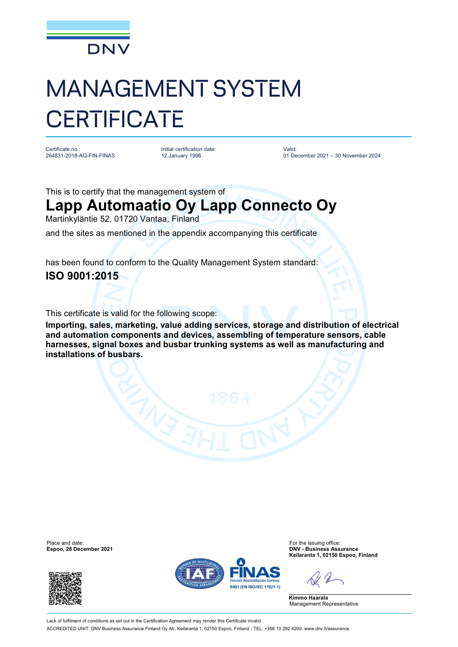

## MANAGEMENT SYSTEM **CERTIFICATE**

Certificate no.: 264831-2018-AQ-FIN-FINAS Initial certification date: 12 January 1996

Valid: 01 December 2021 – 30 November 2024

This is to certify that the management system of

## **Lapp Automaatio Oy Lapp Connecto Oy**

Martinkyläntie 52, 01720 Vantaa, Finland

and the sites as mentioned in the appendix accompanying this certificate

has been found to conform to the Quality Management System standard: **ISO 9001:2015**

This certificate is valid for the following scope:

**Importing, sales, marketing, value adding services, storage and distribution of electrical and automation components and devices, assembling of temperature sensors, cable harnesses, signal boxes and busbar trunking systems as well as manufacturing and installations of busbars.**

Place and date: For the issuing office:<br>
For the issuing office:<br>
Figure 2021 **Exponent Contract Contract Contract Contract Contract Contract Contract Contract Contract Contract Contract Contract Contract Contract Contract** 





**Espoo, 28 December 2021 DNV - Business Assurance Keilaranta 1, 02150 Espoo, Finland**

**Kimmo Haarala** Management Representative

Lack of fulfilment of conditions as set out in the Certification Agreement may render this Certificate invalid ACCREDITED UNIT: DNV Business Assurance Finland Oy Ab, Keilaranta 1, 02150 Espoo, Finland - TEL: +358 10 292 4200. [www.dnv.fi/assurance](http://www.dnv.fi/assurance)